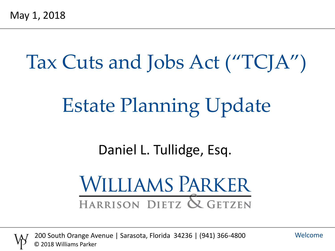# Tax Cuts and Jobs Act ("TCJA") Estate Planning Update

#### Daniel L. Tullidge, Esq.

# **WILLIAMS PARKER** HARRISON DIETZ & GETZEN



200 South Orange Avenue | Sarasota, Florida 34236 | (941) 366-4800 © 2018 Williams Parker

Welcome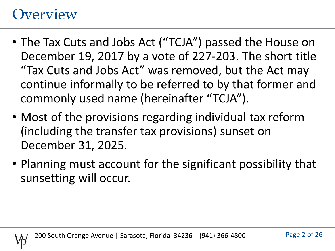#### **Overview**

- The Tax Cuts and Jobs Act ("TCJA") passed the House on December 19, 2017 by a vote of 227-203. The short title "Tax Cuts and Jobs Act" was removed, but the Act may continue informally to be referred to by that former and commonly used name (hereinafter "TCJA").
- Most of the provisions regarding individual tax reform (including the transfer tax provisions) sunset on December 31, 2025.
- Planning must account for the significant possibility that sunsetting will occur.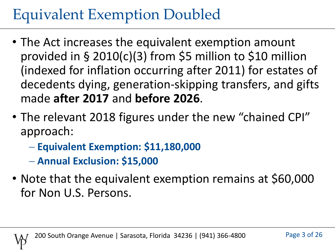# Equivalent Exemption Doubled

- The Act increases the equivalent exemption amount provided in § 2010(c)(3) from \$5 million to \$10 million (indexed for inflation occurring after 2011) for estates of decedents dying, generation-skipping transfers, and gifts made **after 2017** and **before 2026**.
- The relevant 2018 figures under the new "chained CPI" approach:
	- **Equivalent Exemption: \$11,180,000**
	- **Annual Exclusion: \$15,000**
- Note that the equivalent exemption remains at \$60,000 for Non U.S. Persons.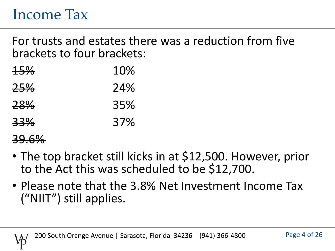#### Income Tax

For trusts and estates there was a reduction from five brackets to four brackets:

| <del>15%</del> | 10% |
|----------------|-----|
| <del>25%</del> | 24% |
| 28%            | 35% |
| 33%            | 37% |

#### 39.6%

- The top bracket still kicks in at \$12,500. However, prior to the Act this was scheduled to be \$12,700.
- Please note that the 3.8% Net Investment Income Tax ("NIIT") still applies.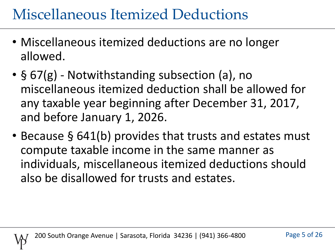## Miscellaneous Itemized Deductions

- Miscellaneous itemized deductions are no longer allowed.
- § 67(g) Notwithstanding subsection (a), no miscellaneous itemized deduction shall be allowed for any taxable year beginning after December 31, 2017, and before January 1, 2026.
- Because § 641(b) provides that trusts and estates must compute taxable income in the same manner as individuals, miscellaneous itemized deductions should also be disallowed for trusts and estates.

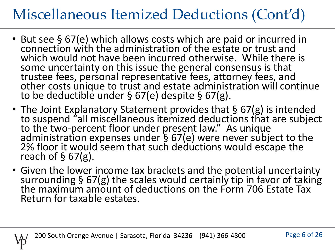## Miscellaneous Itemized Deductions (Cont'd)

- But see § 67(e) which allows costs which are paid or incurred in connection with the administration of the estate or trust and which would not have been incurred otherwise. While there is some uncertainty on this issue the general consensus is that trustee fees, personal representative fees, attorney fees, and other costs unique to trust and estate administration will continue to be deductible under § 67(e) despite § 67(g).
- The Joint Explanatory Statement provides that § 67(g) is intended to suspend "all miscellaneous itemized deductions that are subject to the two-percent floor under present law." As unique administration expenses under § 67(e) were never subject to the 2% floor it would seem that such deductions would escape the reach of  $\S$  67(g).
- Given the lower income tax brackets and the potential uncertainty surrounding § 67(g) the scales would certainly tip in favor of taking the maximum amount of deductions on the Form 706 Estate Tax Return for taxable estates.

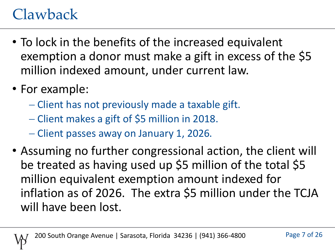## Clawback

- To lock in the benefits of the increased equivalent exemption a donor must make a gift in excess of the \$5 million indexed amount, under current law.
- For example:
	- Client has not previously made a taxable gift.
	- Client makes a gift of \$5 million in 2018.
	- Client passes away on January 1, 2026.
- Assuming no further congressional action, the client will be treated as having used up \$5 million of the total \$5 million equivalent exemption amount indexed for inflation as of 2026. The extra \$5 million under the TCJA will have been lost.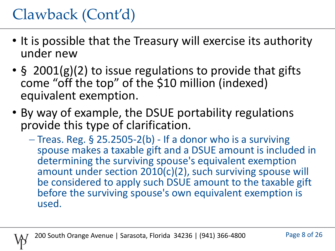# Clawback (Cont'd)

- It is possible that the Treasury will exercise its authority under new
- § 2001(g)(2) to issue regulations to provide that gifts come "off the top" of the \$10 million (indexed) equivalent exemption.
- By way of example, the DSUE portability regulations provide this type of clarification.
	- $-$  Treas. Reg. § 25.2505-2(b) If a donor who is a surviving spouse makes a taxable gift and a DSUE amount is included in determining the surviving spouse's equivalent exemption amount under section 2010(c)(2), such surviving spouse will be considered to apply such DSUE amount to the taxable gift before the surviving spouse's own equivalent exemption is used.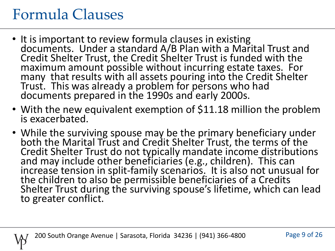#### Formula Clauses

- It is important to review formula clauses in existing documents. Under a standard A/B Plan with a Marital Trust and Credit Shelter Trust, the Credit Shelter Trust is funded with the maximum amount possible without incurring estate taxes. For many that results with all assets pouring into the Credit Shelter Trust. This was already a problem for persons who had documents prepared in the 1990s and early 2000s.
- With the new equivalent exemption of \$11.18 million the problem is exacerbated.
- While the surviving spouse may be the primary beneficiary under both the Marital Trust and Credit Shelter Trust, the terms of the Credit Shelter Trust do not typically mandate income distributions and may include other beneficiaries (e.g., children). This can increase tension in split-family scenarios. It is also not unusual for the children to also be permissible beneficiaries of a Credits Shelter Trust during the surviving spouse's lifetime, which can lead to greater conflict.

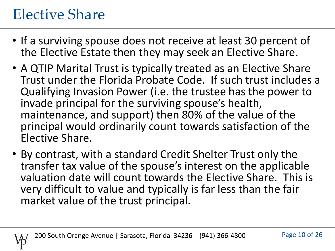## Elective Share

- If a surviving spouse does not receive at least 30 percent of the Elective Estate then they may seek an Elective Share.
- A QTIP Marital Trust is typically treated as an Elective Share Trust under the Florida Probate Code. If such trust includes a Qualifying Invasion Power (i.e. the trustee has the power to invade principal for the surviving spouse's health, maintenance, and support) then 80% of the value of the principal would ordinarily count towards satisfaction of the Elective Share.
- By contrast, with a standard Credit Shelter Trust only the transfer tax value of the spouse's interest on the applicable valuation date will count towards the Elective Share. This is very difficult to value and typically is far less than the fair market value of the trust principal.

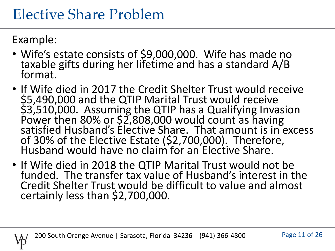#### Elective Share Problem

Example:

- Wife's estate consists of \$9,000,000. Wife has made no taxable gifts during her lifetime and has a standard A/B format.
- If Wife died in 2017 the Credit Shelter Trust would receive \$5,490,000 and the QTIP Marital Trust would receive \$3,510,000. Assuming the QTIP has a Qualifying Invasion Power then 80% or \$2,808,000 would count as having satisfied Husband's Elective Share. That amount is in excess of 30% of the Elective Estate (\$2,700,000). Therefore, Husband would have no claim for an Elective Share.
- If Wife died in 2018 the QTIP Marital Trust would not be funded. The transfer tax value of Husband's interest in the Credit Shelter Trust would be difficult to value and almost certainly less than \$2,700,000.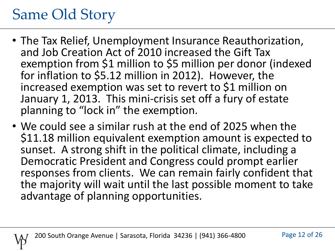## Same Old Story

- The Tax Relief, Unemployment Insurance Reauthorization, and Job Creation Act of 2010 increased the Gift Tax exemption from \$1 million to \$5 million per donor (indexed for inflation to \$5.12 million in 2012). However, the increased exemption was set to revert to \$1 million on January 1, 2013. This mini-crisis set off a fury of estate planning to "lock in" the exemption.
- We could see a similar rush at the end of 2025 when the \$11.18 million equivalent exemption amount is expected to sunset. A strong shift in the political climate, including a Democratic President and Congress could prompt earlier responses from clients. We can remain fairly confident that the majority will wait until the last possible moment to take advantage of planning opportunities.

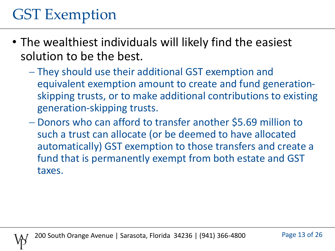## GST Exemption

- The wealthiest individuals will likely find the easiest solution to be the best.
	- They should use their additional GST exemption and equivalent exemption amount to create and fund generationskipping trusts, or to make additional contributions to existing generation-skipping trusts.
	- Donors who can afford to transfer another \$5.69 million to such a trust can allocate (or be deemed to have allocated automatically) GST exemption to those transfers and create a fund that is permanently exempt from both estate and GST taxes.

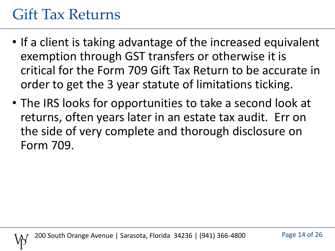#### Gift Tax Returns

- If a client is taking advantage of the increased equivalent exemption through GST transfers or otherwise it is critical for the Form 709 Gift Tax Return to be accurate in order to get the 3 year statute of limitations ticking.
- The IRS looks for opportunities to take a second look at returns, often years later in an estate tax audit. Err on the side of very complete and thorough disclosure on Form 709.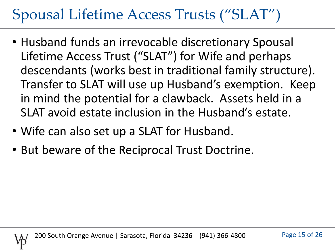## Spousal Lifetime Access Trusts ("SLAT")

- Husband funds an irrevocable discretionary Spousal Lifetime Access Trust ("SLAT") for Wife and perhaps descendants (works best in traditional family structure). Transfer to SLAT will use up Husband's exemption. Keep in mind the potential for a clawback. Assets held in a SLAT avoid estate inclusion in the Husband's estate.
- Wife can also set up a SLAT for Husband.
- But beware of the Reciprocal Trust Doctrine.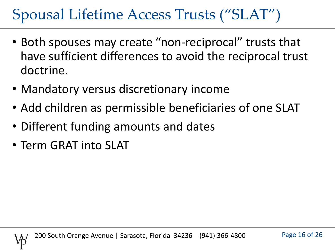## Spousal Lifetime Access Trusts ("SLAT")

- Both spouses may create "non-reciprocal" trusts that have sufficient differences to avoid the reciprocal trust doctrine.
- Mandatory versus discretionary income
- Add children as permissible beneficiaries of one SLAT
- Different funding amounts and dates
- Term GRAT into SLAT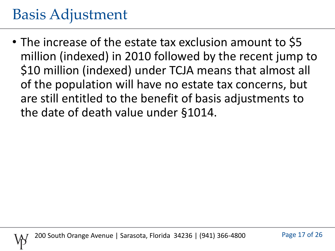#### Basis Adjustment

• The increase of the estate tax exclusion amount to \$5 million (indexed) in 2010 followed by the recent jump to \$10 million (indexed) under TCJA means that almost all of the population will have no estate tax concerns, but are still entitled to the benefit of basis adjustments to the date of death value under §1014.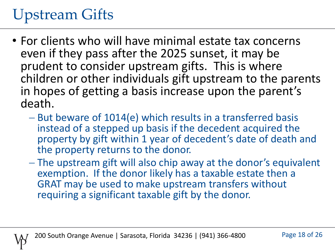# Upstream Gifts

- For clients who will have minimal estate tax concerns even if they pass after the 2025 sunset, it may be prudent to consider upstream gifts. This is where children or other individuals gift upstream to the parents in hopes of getting a basis increase upon the parent's death.
	- But beware of 1014(e) which results in a transferred basis instead of a stepped up basis if the decedent acquired the property by gift within 1 year of decedent's date of death and the property returns to the donor.
	- The upstream gift will also chip away at the donor's equivalent exemption. If the donor likely has a taxable estate then a GRAT may be used to make upstream transfers without requiring a significant taxable gift by the donor.

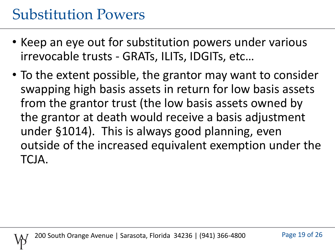#### Substitution Powers

- Keep an eye out for substitution powers under various irrevocable trusts - GRATs, ILITs, IDGITs, etc…
- To the extent possible, the grantor may want to consider swapping high basis assets in return for low basis assets from the grantor trust (the low basis assets owned by the grantor at death would receive a basis adjustment under §1014). This is always good planning, even outside of the increased equivalent exemption under the TCJA.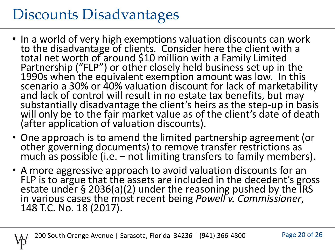## Discounts Disadvantages

- In a world of very high exemptions valuation discounts can work to the disadvantage of clients. Consider here the client with a total net worth of around \$10 million with a Family Limited Partnership ("FLP") or other closely held business set up in the 1990s when the equivalent exemption amount was low. In this scenario a 30% or 40% valuation discount for lack of marketability and lack of control will result in no estate tax benefits, but may substantially disadvantage the client's heirs as the step-up in basis will only be to the fair market value as of the client's date of death (after application of valuation discounts).
- One approach is to amend the limited partnership agreement (or other governing documents) to remove transfer restrictions as much as possible (i.e. – not limiting transfers to family members).
- A more aggressive approach to avoid valuation discounts for an FLP is to argue that the assets are included in the decedent's gross estate under § 2036(a)(2) under the reasoning pushed by the IRS in various cases the most recent being *Powell v. Commissioner*, 148 T.C. No. 18 (2017).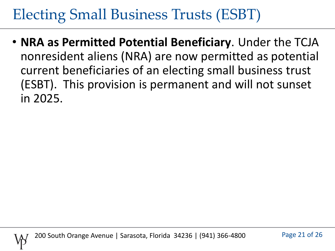## Electing Small Business Trusts (ESBT)

• **NRA as Permitted Potential Beneficiary**. Under the TCJA nonresident aliens (NRA) are now permitted as potential current beneficiaries of an electing small business trust (ESBT). This provision is permanent and will not sunset in 2025.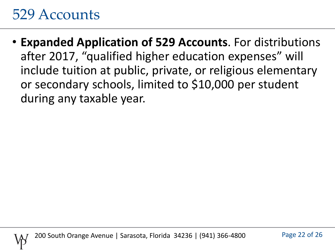#### 529 Accounts

• **Expanded Application of 529 Accounts**. For distributions after 2017, "qualified higher education expenses" will include tuition at public, private, or religious elementary or secondary schools, limited to \$10,000 per student during any taxable year.

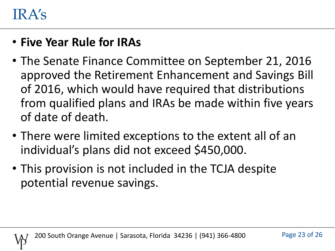#### IRA's

#### • **Five Year Rule for IRAs**

- The Senate Finance Committee on September 21, 2016 approved the Retirement Enhancement and Savings Bill of 2016, which would have required that distributions from qualified plans and IRAs be made within five years of date of death.
- There were limited exceptions to the extent all of an individual's plans did not exceed \$450,000.
- This provision is not included in the TCJA despite potential revenue savings.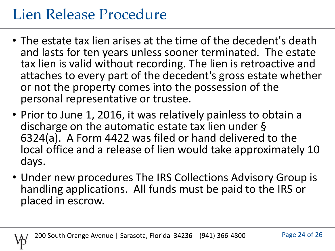## Lien Release Procedure

- The estate tax lien arises at the time of the decedent's death and lasts for ten years unless sooner terminated. The estate tax lien is valid without recording. The lien is retroactive and attaches to every part of the decedent's gross estate whether or not the property comes into the possession of the personal representative or trustee.
- Prior to June 1, 2016, it was relatively painless to obtain a discharge on the automatic estate tax lien under § 6324(a). A Form 4422 was filed or hand delivered to the local office and a release of lien would take approximately 10 days.
- Under new procedures The IRS Collections Advisory Group is handling applications. All funds must be paid to the IRS or placed in escrow.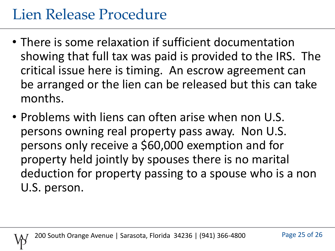## Lien Release Procedure

- There is some relaxation if sufficient documentation showing that full tax was paid is provided to the IRS. The critical issue here is timing. An escrow agreement can be arranged or the lien can be released but this can take months.
- Problems with liens can often arise when non U.S. persons owning real property pass away. Non U.S. persons only receive a \$60,000 exemption and for property held jointly by spouses there is no marital deduction for property passing to a spouse who is a non U.S. person.